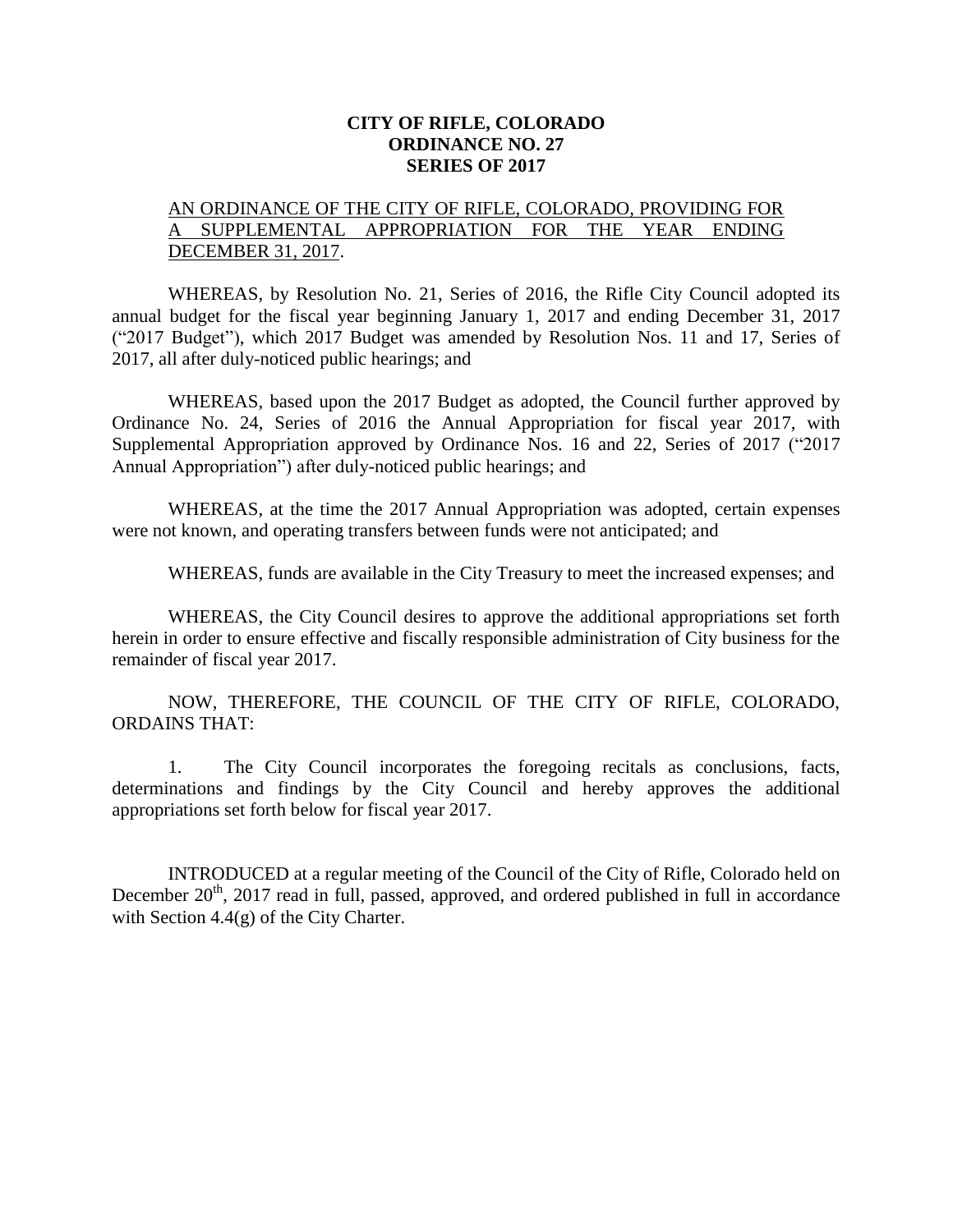#### **CITY OF RIFLE, COLORADO ORDINANCE NO. 27 SERIES OF 2017**

### AN ORDINANCE OF THE CITY OF RIFLE, COLORADO, PROVIDING FOR A SUPPLEMENTAL APPROPRIATION FOR THE YEAR ENDING DECEMBER 31, 2017.

WHEREAS, by Resolution No. 21, Series of 2016, the Rifle City Council adopted its annual budget for the fiscal year beginning January 1, 2017 and ending December 31, 2017 ("2017 Budget"), which 2017 Budget was amended by Resolution Nos. 11 and 17, Series of 2017, all after duly-noticed public hearings; and

WHEREAS, based upon the 2017 Budget as adopted, the Council further approved by Ordinance No. 24, Series of 2016 the Annual Appropriation for fiscal year 2017, with Supplemental Appropriation approved by Ordinance Nos. 16 and 22, Series of 2017 ("2017 Annual Appropriation") after duly-noticed public hearings; and

WHEREAS, at the time the 2017 Annual Appropriation was adopted, certain expenses were not known, and operating transfers between funds were not anticipated; and

WHEREAS, funds are available in the City Treasury to meet the increased expenses; and

WHEREAS, the City Council desires to approve the additional appropriations set forth herein in order to ensure effective and fiscally responsible administration of City business for the remainder of fiscal year 2017.

NOW, THEREFORE, THE COUNCIL OF THE CITY OF RIFLE, COLORADO, ORDAINS THAT:

1. The City Council incorporates the foregoing recitals as conclusions, facts, determinations and findings by the City Council and hereby approves the additional appropriations set forth below for fiscal year 2017.

INTRODUCED at a regular meeting of the Council of the City of Rifle, Colorado held on December 20<sup>th</sup>, 2017 read in full, passed, approved, and ordered published in full in accordance with Section 4.4(g) of the City Charter.